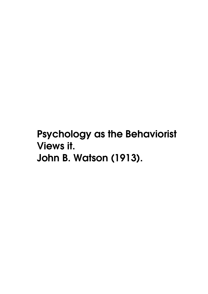**Psychology as the Behaviorist Views it. John B. Watson (1913).**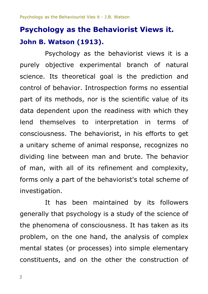# **Psychology as the Behaviorist Views it. John B. Watson (1913).**

Psychology as the behaviorist views it is a purely objective experimental branch of natural science. Its theoretical goal is the prediction and control of behavior. Introspection forms no essential part of its methods, nor is the scientific value of its data dependent upon the readiness with which they lend themselves to interpretation in terms of consciousness. The behaviorist, in his efforts to get a unitary scheme of animal response, recognizes no dividing line between man and brute. The behavior of man, with all of its refinement and complexity, forms only a part of the behaviorist's total scheme of investigation.

It has been maintained by its followers generally that psychology is a study of the science of the phenomena of consciousness. It has taken as its problem, on the one hand, the analysis of complex mental states (or processes) into simple elementary constituents, and on the other the construction of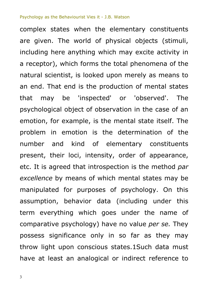complex states when the elementary constituents are given. The world of physical objects (stimuli, including here anything which may excite activity in a receptor), which forms the total phenomena of the natural scientist, is looked upon merely as means to an end. That end is the production of mental states that may be 'inspected' or 'observed'. The psychological object of observation in the case of an emotion, for example, is the mental state itself. The problem in emotion is the determination of the number and kind of elementary constituents present, their loci, intensity, order of appearance, etc. It is agreed that introspection is the method *par excellence* by means of which mental states may be manipulated for purposes of psychology. On this assumption, behavior data (including under this term everything which goes under the name of comparative psychology) have no value *per se.* They possess significance only in so far as they may throw light upon conscious states.1Such data must have at least an analogical or indirect reference to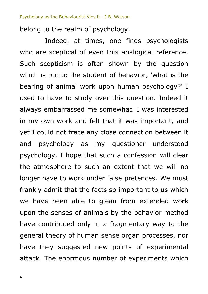belong to the realm of psychology.

Indeed, at times, one finds psychologists who are sceptical of even this analogical reference. Such scepticism is often shown by the question which is put to the student of behavior, 'what is the bearing of animal work upon human psychology?' I used to have to study over this question. Indeed it always embarrassed me somewhat. I was interested in my own work and felt that it was important, and yet I could not trace any close connection between it and psychology as my questioner understood psychology. I hope that such a confession will clear the atmosphere to such an extent that we will no longer have to work under false pretences. We must frankly admit that the facts so important to us which we have been able to glean from extended work upon the senses of animals by the behavior method have contributed only in a fragmentary way to the general theory of human sense organ processes, nor have they suggested new points of experimental attack. The enormous number of experiments which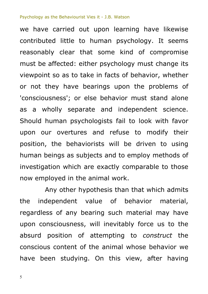we have carried out upon learning have likewise contributed little to human psychology. It seems reasonably clear that some kind of compromise must be affected: either psychology must change its viewpoint so as to take in facts of behavior, whether or not they have bearings upon the problems of 'consciousness'; or else behavior must stand alone as a wholly separate and independent science. Should human psychologists fail to look with favor upon our overtures and refuse to modify their position, the behaviorists will be driven to using human beings as subjects and to employ methods of investigation which are exactly comparable to those now employed in the animal work.

Any other hypothesis than that which admits the independent value of behavior material, regardless of any bearing such material may have upon consciousness, will inevitably force us to the absurd position of attempting to *construct* the conscious content of the animal whose behavior we have been studying. On this view, after having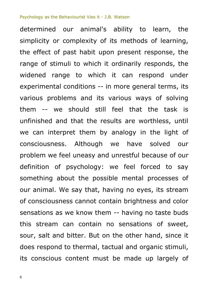determined our animal's ability to learn, the simplicity or complexity of its methods of learning, the effect of past habit upon present response, the range of stimuli to which it ordinarily responds, the widened range to which it can respond under experimental conditions -- in more general terms, its various problems and its various ways of solving them -- we should still feel that the task is unfinished and that the results are worthless, until we can interpret them by analogy in the light of consciousness. Although we have solved our problem we feel uneasy and unrestful because of our definition of psychology: we feel forced to say something about the possible mental processes of our animal. We say that, having no eyes, its stream of consciousness cannot contain brightness and color sensations as we know them -- having no taste buds this stream can contain no sensations of sweet, sour, salt and bitter. But on the other hand, since it does respond to thermal, tactual and organic stimuli, its conscious content must be made up largely of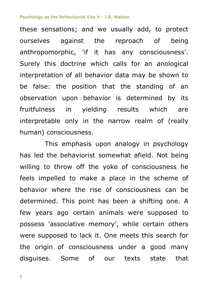these sensations; and we usually add, to protect ourselves against the reproach of being anthropomorphic, 'if it has any consciousness'. Surely this doctrine which calls for an anological interpretation of all behavior data may be shown to be false: the position that the standing of an observation upon behavior is determined by its fruitfulness in yielding results which are interpretable only in the narrow realm of (really human) consciousness.

This emphasis upon analogy in psychology has led the behaviorist somewhat afield. Not being willing to throw off the yoke of consciousness he feels impelled to make a place in the scheme of behavior where the rise of consciousness can be determined. This point has been a shifting one. A few years ago certain animals were supposed to possess 'associative memory', while certain others were supposed to lack it. One meets this search for the origin of consciousness under a good many disguises. Some of our texts state that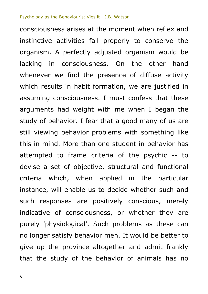consciousness arises at the moment when reflex and instinctive activities fail properly to conserve the organism. A perfectly adjusted organism would be lacking in consciousness. On the other hand whenever we find the presence of diffuse activity which results in habit formation, we are justified in assuming consciousness. I must confess that these arguments had weight with me when I began the study of behavior. I fear that a good many of us are still viewing behavior problems with something like this in mind. More than one student in behavior has attempted to frame criteria of the psychic -- to devise a set of objective, structural and functional criteria which, when applied in the particular instance, will enable us to decide whether such and such responses are positively conscious, merely indicative of consciousness, or whether they are purely 'physiological'. Such problems as these can no longer satisfy behavior men. It would be better to give up the province altogether and admit frankly that the study of the behavior of animals has no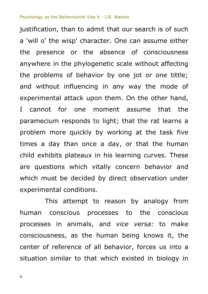justification, than to admit that our search is of such a 'will o' the wisp' character. One can assume either the presence or the absence of consciousness anywhere in the phylogenetic scale without affecting the problems of behavior by one jot or one tittle; and without influencing in any way the mode of experimental attack upon them. On the other hand, I cannot for one moment assume that the paramecium responds to light; that the rat learns a problem more quickly by working at the task five times a day than once a day, or that the human child exhibits plateaux in his learning curves. These are questions which vitally concern behavior and which must be decided by direct observation under experimental conditions.

This attempt to reason by analogy from human conscious processes to the conscious processes in animals, and *vice versa:* to make consciousness, as the human being knows it, the center of reference of all behavior, forces us into a situation similar to that which existed in biology in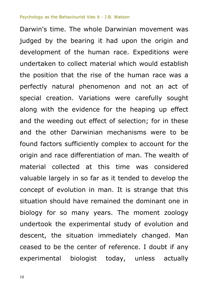Darwin's time. The whole Darwinian movement was judged by the bearing it had upon the origin and development of the human race. Expeditions were undertaken to collect material which would establish the position that the rise of the human race was a perfectly natural phenomenon and not an act of special creation. Variations were carefully sought along with the evidence for the heaping up effect and the weeding out effect of selection; for in these and the other Darwinian mechanisms were to be found factors sufficiently complex to account for the origin and race differentiation of man. The wealth of material collected at this time was considered valuable largely in so far as it tended to develop the concept of evolution in man. It is strange that this situation should have remained the dominant one in biology for so many years. The moment zoology undertook the experimental study of evolution and descent, the situation immediately changed. Man ceased to be the center of reference. I doubt if any experimental biologist today, unless actually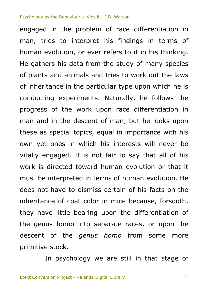descent of the *genus homo* from some more<br>primitive stock.<br>In psychology we are still in that stage of enus hotels<br>and the direction of nterpreted<br>
nave to disi<br>
e of coat conternative<br>
little bear Solding of Their,<br>
pics, equal in<br>
which his inte<br>
is not fair to<br>
oward human<br>
d in terms of h  $an<sub>e</sub>$ b s to it in his think<br>tudy of many spee<br>to work out the latype upon which h<br>rally, he follows<br>ace differentiation engaged in the problem of race amerentiation....<br>man, tries to interpret his findings in terms of<br>human evolution, or ever refers to it in his thinking. engaged in the problem of race differentiation in man, tries to interpret his findings in terms of He gathers his data from the study of many species of plants and animals and tries to work out the laws of inheritance in the particular type upon which he is conducting experiments. Naturally, he follows the progress of the work upon race differentiation in man and in the descent of man, but he looks upon these as special topics, equal in importance with his own yet ones in which his interests will never be vitally engaged. It is not fair to say that all of his work is directed toward human evolution or that it must be interpreted in terms of human evolution. He does not have to dismiss certain of his facts on the inheritance of coat color in mice because, forsooth, they have little bearing upon the differentiation of the genus homo into separate races, or upon the primitive stock.

In psychology we are still in that stage of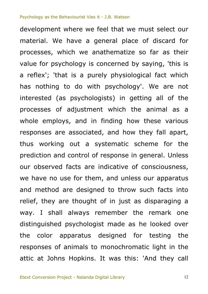the color apparatus designed for testing the<br>responses of animals to monochromatic light in the<br>attic at Johns Hopkins. It was this: 'And they call - Shan<br>guished<br>color a o use for t<br>pd are desi<br>y are thoug<br>hall always nd in mining<br>ociated, and t<br>c a systemati<br>trol of respons<br>s are indicative ng ho atize so far as the<br>
ind by saying, this<br>
ysiological fact where the<br>
in getting all of<br>
ch the animal as material. We have a general place of discard for<br>processes, which we anathematize so far as their development where we feel that we must select our material. We have a general place of discard for value for psychology is concerned by saying, 'this is a reflex'; 'that is a purely physiological fact which has nothing to do with psychology'. We are not interested (as psychologists) in getting all of the processes of adjustment which the animal as a whole employs, and in finding how these various responses are associated, and how they fall apart, thus working out a systematic scheme for the prediction and control of response in general. Unless our observed facts are indicative of consciousness, we have no use for them, and unless our apparatus and method are designed to throw such facts into relief, they are thought of in just as disparaging a way. I shall always remember the remark one distinguished psychologist made as he looked over the color apparatus designed for testing the responses of animals to monochromatic light in the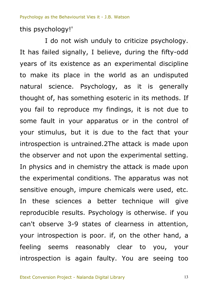this psychology!'

your introspection is poor. if, on the other hand, a<br>feeling seems reasonably clear to you, your<br>introspection is again faulty. You are seeing too ducibic<br>observe<br>introsne mental con<br>enough, imp<br>sciences<br>de results. In apparatus exercised<br>t it is due to<br>trained.2The a<br>not upon the exercised:<br>conditions. The  $\frac{\sqrt{2}}{2}$ A during the fifty-<br>
sperimental discip<br>
d as an undispure it is gener<br>
d it is methods<br>
it is methods<br>
igs, it is not due I do not wish unduly to criticize psychology.<br>It has failed signally, I believe, during the fifty-odd I do not wish unduly to criticize psychology. years of its existence as an experimental discipline to make its place in the world as an undisputed natural science. Psychology, as it is generally thought of, has something esoteric in its methods. If you fail to reproduce my findings, it is not due to some fault in your apparatus or in the control of your stimulus, but it is due to the fact that your introspection is untrained.2The attack is made upon the observer and not upon the experimental setting. In physics and in chemistry the attack is made upon the experimental conditions. The apparatus was not sensitive enough, impure chemicals were used, etc. In these sciences a better technique will give reproducible results. Psychology is otherwise. if you can't observe 3-9 states of clearness in attention, feeling seems reasonably clear to you, your introspection is again faulty. You are seeing too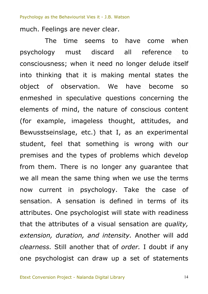much. Feelings are never clear.

extension, duration, and intensity. Another will add<br>clearness. Still another that of order. I doubt if any<br>one psychologist can draw up a set of statements  $\frac{d}{dt}$  the attri an the same<br>ent in ps<br>A sensatiende psych etc.) that I,<br>t something i<br>types of probl<br>is no longer<br>ame thing whe ought all reference<br>
o longer delude it<br>
ig mental states<br>
have become<br>
stions concerning<br>
of conscious cont come when<br>reference to The time seems to have come psychology must discard all consciousness; when it need no longer delude itself into thinking that it is making mental states the object of observation. We have become so enmeshed in speculative questions concerning the elements of mind, the nature of conscious content (for example, imageless thought, attitudes, and Bewusstseinslage, etc.) that  $I_i$  as an experimental student, feel that something is wrong with our premises and the types of problems which develop from them. There is no longer any quarantee that we all mean the same thing when we use the terms now current in psychology. Take the case of sensation. A sensation is defined in terms of its attributes. One psychologist will state with readiness that the attributes of a visual sensation are *quality, clearness.* Still another that of *order.* I doubt if any one psychologist can draw up a set of statements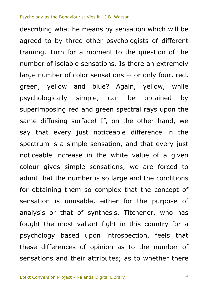psycholog<br>these diff<br>sensation  $\frac{5.5}{10}$  or  $\frac{6}{10}$ the number<br>ing them so<br>is unusably<br>in that of The Cast in the White<br>
ust noticeable<br>
ple sensation,<br>
e in the white<br>
ie sensations,<br>
nber is so large  $\overline{n}$  the o the question of<br>Is there an extrem<br>
is -- or only four, is<br>
igain, yellow, whe obtained<br>
pectral rays upon mm<sub>be</sub><br>fferent<br>of the describing what he means by sensation which will be agreed to by three other psychologists of different training. Turn for a moment to the question of the number of isolable sensations. Is there an extremely large number of color sensations -- or only four, red, green, yellow and blue? Again, yellow, while psychologically simple, can be obtained by superimposing red and green spectral rays upon the same diffusing surface! If, on the other hand, we say that every just noticeable difference in the spectrum is a simple sensation, and that every just noticeable increase in the white value of a given colour gives simple sensations, we are forced to admit that the number is so large and the conditions for obtaining them so complex that the concept of sensation is unusable, either for the purpose of analysis or that of synthesis. Titchener, who has fought the most valiant fight in this country for a psychology based upon introspection, feels that these differences of opinion as to the number of sensations and their attributes; as to whether there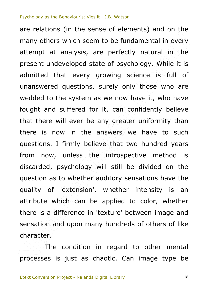$\frac{15}{2}$  and<br> $\frac{1}{2}$  and s to whether<br>f 'extensio<br>which can<br>difference the answers<br>
v believe that<br>
is the introsp<br>
logy will still<br>
ther auditory reate Fectly natural in<br>Industriangle is sychology. While<br>a science is full<br>only those who<br>now have it, who h on the<br>in the are relations (in the sense of elements) and on the many others which seem to be fundamental in every attempt at analysis, are perfectly natural in the present undeveloped state of psychology. While it is admitted that every growing science is full of unanswered questions, surely only those who are wedded to the system as we now have it, who have fought and suffered for it, can confidently believe that there will ever be any greater uniformity than there is now in the answers we have to such questions. I firmly believe that two hundred years from now, unless the introspective method is discarded, psychology will still be divided on the question as to whether auditory sensations have the quality of 'extension', whether intensity is an attribute which can be applied to color, whether there is a difference in 'texture' between image and sensation and upon many hundreds of others of like character.

character.<br>
The condition in regard to other mental<br>
processes is just as chaotic. Can image type be The condition in regard to other mental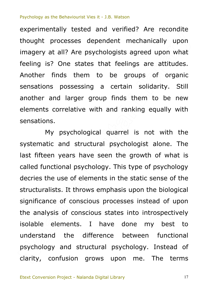**POT** sts agreed upon w<br>
elings are attituded<br>
groups of orga<br>
tain solidarity.<br>
ds them to be r  $\frac{1}{2}$  upon experimentally tested and verified? Are recondite thought processes dependent mechanically upon imagery at all? Are psychologists agreed upon what feeling is? One states that feelings are attitudes. Another finds them to be groups of organic sensations possessing a certain solidarity. Still another and larger group finds them to be new elements correlative with and ranking equally with sensations.

understand the difference between functional<br>psychology and structural psychology. Instead of<br>clarity, confusion grows upon me. The terms har, sis<br>ble eler<br>rstand e use of ele<br>sts. It throv<br>e of consci<br>sis of consc Dogical Quarre<br>
Sological Quarre<br>
tructural psych<br>
sychology. This<br>
elements in the My psychological quarrel is not with the systematic and structural psychologist alone. The last fifteen years have seen the growth of what is called functional psychology. This type of psychology decries the use of elements in the static sense of the structuralists. It throws emphasis upon the biological significance of conscious processes instead of upon the analysis of conscious states into introspectively isolable elements. I have done my best to understand the difference between functional psychology and structural psychology. Instead of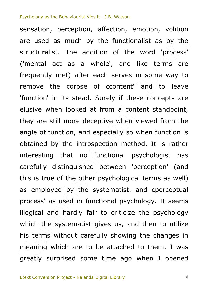his terms without carefully showing the changes in<br>meaning which are to be attached to them. I was<br>greatly surprised some time ago when I opened  $h$  the sy e or the oth<br>
ved by the<br>
s used in f angle of function, and especially so when function is<br>obtained by the introspection method. It is rather<br>interesting that no functional psychologist has<br>carefully distinguished between 'perception' (and<br>this is true of the when the word 'proce<br>and like terms<br>rves in some way<br>tent' and to le<br>if these concepts<br>a content standpo sensation, perception, arrection, emotion, volition<br>are used as much by the functionalist as by the<br>structuralist. The addition of the word 'process' sensation, perception, affection, emotion, volition are used as much by the functionalist as by the ('mental act as a whole', and like terms are frequently met) after each serves in some way to remove the corpse of ccontent' and to leave 'function' in its stead. Surely if these concepts are elusive when looked at from a content standpoint, they are still more deceptive when viewed from the angle of function, and especially so when function is obtained by the introspection method. It is rather interesting that no functional psychologist has carefully distinguished between 'perception' (and as employed by the systematist, and cperceptual process' as used in functional psychology. It seems illogical and hardly fair to criticize the psychology which the systematist gives us, and then to utilize meaning which are to be attached to them. I was greatly surprised some time ago when I opened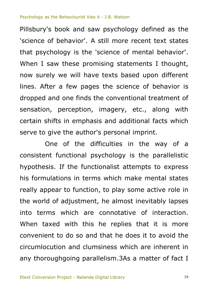d addi of mental behavistatements I thousand<br>based upon differ<br>cience of behavio<br>ventional treatmenty, etc., along I mosary 5 Book and saw psychology defined as the<br>'science of behavior'. A still more recent text states<br>that psychology is the 'science of mental behavior'. Pillsbury's book and saw psychology defined as the 'science of behavior'. A still more recent text states When I saw these promising statements I thought, now surely we will have texts based upon different lines. After a few pages the science of behavior is dropped and one finds the conventional treatment of sensation, perception, imagery, etc., along with certain shifts in emphasis and additional facts which serve to give the author's personal imprint.

convenient to do so and that he does it to avoid the circumlocution and clumsiness which are inherent in any thoroughgoing parallelism. 3As a matter of fact I ed....3<br>Intaxed<br>Phient to ations in te<br>ear to funct<br>of adjustme<br>s which al mphasis and administration<br>
uthor's person<br>
ne difficulties<br>
nal psychology<br>
functionalist<br>
terms which One of the difficulties in the way of a consistent functional psychology is the parallelistic hypothesis. If the functionalist attempts to express his formulations in terms which make mental states really appear to function, to play some active role in the world of adjustment, he almost inevitably lapses into terms which are connotative of interaction. When taxed with this he replies that it is more circumlocution and clumsiness which are inherent in any thoroughgoing parallelism.3As a matter of fact I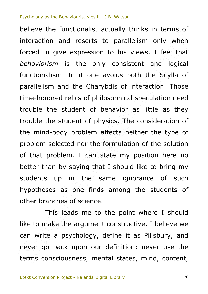up in th<br>s as one<br>ches of scie<br>is leads m The priviles.<br>
Soblem affects<br>
oblem affects<br>
I can state m<br>
ing that I shou<br>
the same id  $\mathsf{s}$ . The ns views. I feel t<br>nsistent and log<br>s both the Scylla<br>of interaction. Th<br>nical speculation n<br>ior as little as t when<br>el\_that believe the functionalist actually thinks in terms of interaction and resorts to parallelism only when forced to give expression to his views. I feel that *behaviorism* is the only consistent and logical functionalism. In it one avoids both the Scylla of parallelism and the Charybdis of interaction. Those time-honored relics of philosophical speculation need trouble the student of behavior as little as they trouble the student of physics. The consideration of the mind-body problem affects neither the type of problem selected nor the formulation of the solution of that problem. I can state my position here no better than by saying that I should like to bring my students up in the same ignorance of such hypotheses as one finds among the students of other branches of science.

can write a psychology, define it as Pillsbury, and<br>never go back upon our definition: never use the<br>terms consciousness, mental states, mind, content, o make 1<br>a make 1<br>write a 1 This leads me to the point where I should like to make the argument constructive. I believe we can write a psychology, define it as Pillsbury, and never go back upon our definition: never use the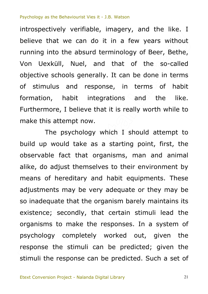$\bigcirc$ ology of Beer, Bet<br>at of the so-ca<br>can be done in te<br>in terms of h<br>ns and the I<br>sreally worth while we.<br>vithout<br>Bethe, introspectively verifiable, imagery, and the like. I believe that we can do it in a few years without running into the absurd terminology of Beer, Bethe, Von Uexküll, Nuel, and that of the so-called objective schools generally. It can be done in terms of stimulus and response, in terms of habit formation, habit integrations and the like. Furthermore, I believe that it is really worth while to make this attempt now.

psychology completely worked out, given the<br>response the stimuli can be predicted; given the<br>stimuli the response can be predicted. Such a set of nereditary<br>ts may be<br>late that th<br>secondly, now.<br>
ology which I<br>
ike as a starti<br>
hat organisms<br>
emselves to th<br>
ary and habit The psychology which I should attempt to build up would take as a starting point, first, the observable fact that organisms, man and animal alike, do adjust themselves to their environment by means of hereditary and habit equipments. These adjustments may be very adequate or they may be so inadequate that the organism barely maintains its existence; secondly, that certain stimuli lead the organisms to make the responses. In a system of response the stimuli can be predicted; given the stimuli the response can be predicted. Such a set of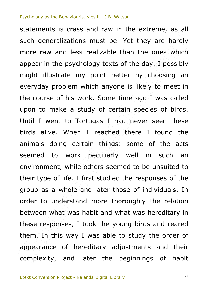them. In this way I was able to study the order of<br>appearance of hereditary adjustments and their<br>complexity, and later the beginnings of habit een what<br>The this of life. I fir<br>a whole an<br>understand<br>what was ha ortugas<br>
1 I reached<br>
1 I reached<br>
1 I reached<br>
1 Chers seeme<br>
1 Seeme<br>
1 Seeme<br>
1 Seeme<br>
1 Seeme<br>
1 Seeme<br>
1 Seeme  $\begin{bmatrix} \n\text{had} \\
\text{bd} \\
\text{bd} \\
\text{bd} \\
\text{bd} \\
\text{bd} \\
\text{bd} \\
\text{bd} \\
\text{bd} \\
\text{bd} \\
\text{bd} \\
\text{bd} \\
\text{bd} \\
\text{bd} \\
\text{bd} \\
\text{bd} \\
\text{bd} \\
\text{bd} \\
\text{bd} \\
\text{bd} \\
\text{bd} \\
\text{bd} \\
\text{bd} \\
\text{bd} \\
\text{bd} \\
\text{bd} \\
\text{bd} \\
\text{bd} \\
\text{bd} \\
\text{bd} \\
\text{bd} \\
\text{bd} \\
\text{bd} \\
\text{bd} \\
\text{bd} \\
\text$ than the ones whof the day. I poss<br>tter by choosing<br>ne is likely to mee<br>time ago I was ca<br>tain species of bil hardly<br>which statements is crass and raw in the extreme, as all such generalizations must be. Yet they are hardly more raw and less realizable than the ones which appear in the psychology texts of the day. I possibly might illustrate my point better by choosing an everyday problem which anyone is likely to meet in the course of his work. Some time ago I was called upon to make a study of certain species of birds. Until I went to Tortugas I had never seen these birds alive. When I reached there I found the animals doing certain things: some of the acts seemed to work peculiarly well in such an environment, while others seemed to be unsuited to their type of life. I first studied the responses of the group as a whole and later those of individuals. In order to understand more thoroughly the relation between what was habit and what was hereditary in these responses, I took the young birds and reared appearance of hereditary adjustments and their complexity, and later the beginnings of habit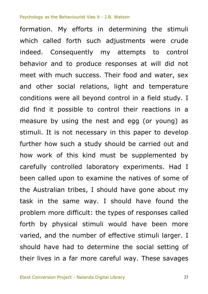varied, and the number of effective stimuli larger. I<br>should have had to determine the social setting of<br>their lives in a far more careful way. These savages  $-$  by phy d upon to e<br>Ilian tribes,<br>ne same w<br>nore difficul ecessary in the<br>ecessary in the<br>kind must be<br>d laboratory examine the  $\overline{\text{and}}$  eq attempts to con<br>
onses at will did<br>
- food and water,<br>
ght and temperat<br>
trol in a field stud<br>
their reactions i indeed. Consequently my attempts to control<br>indeed. Consequently my attempts to control formation. My efforts in determining the stimuli which called forth such adjustments were crude behavior and to produce responses at will did not meet with much success. Their food and water, sex and other social relations, light and temperature conditions were all beyond control in a field study. I did find it possible to control their reactions in a measure by using the nest and egg (or young) as stimuli. It is not necessary in this paper to develop further how such a study should be carried out and how work of this kind must be supplemented by carefully controlled laboratory experiments. Had I been called upon to examine the natives of some of the Australian tribes, I should have gone about my task in the same way. I should have found the problem more difficult: the types of responses called forth by physical stimuli would have been more should have had to determine the social setting of their lives in a far more careful way. These savages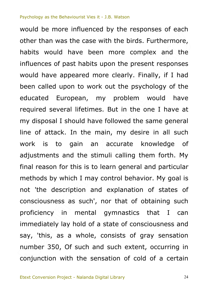say, 'this, as a whole, consists of gray sensation<br>number 350, Of such and such extent, occurring in<br>conjunction with the sensation of cold of a certain  $=$ diately leads that  $\frac{1}{2}$ iy which I m<br>description<br>ness as suc the main, my<br>
the main, my<br>
n an accura<br>
che stimuli call<br>
s is to learn ge<br>
I may control owed re complex and<br>the present respores the psychology of<br>the psychology of<br>oblem would h<br>in the one I have meden<br>rmore,<br>nd the would be more influenced by the responses of each other than was the case with the birds. Furthermore, habits would have been more complex and the influences of past habits upon the present responses would have appeared more clearly. Finally, if I had been called upon to work out the psychology of the educated European, my problem would have required several lifetimes. But in the one I have at my disposal I should have followed the same general line of attack. In the main, my desire in all such work is to gain an accurate knowledge of adjustments and the stimuli calling them forth. My final reason for this is to learn general and particular methods by which I may control behavior. My goal is not 'the description and explanation of states of consciousness as such', nor that of obtaining such proficiency in mental gymnastics that I can immediately lay hold of a state of consciousness and number 350, Of such and such extent, occurring in conjunction with the sensation of cold of a certain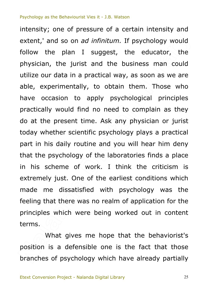s. What gives me hope that the behaviorist's Just. One<br>dissatisfie<br>t there was<br>which were today whether scientific psychology plays a practical<br>part in his daily routine and you will hear him deny<br>that the psychology of the laboratories finds a place<br>in his scheme of work. I think the criticism is<br>extremely jus any p the educator,<br>business man co<br>ay, as soon as we<br>in them. Those v<br>chological princip<br>to complain as t extent,' and so on *ad infinitum.* If psychology would<br>follow the plan I suggest, the educator, the intensity; one of pressure of a certain intensity and extent,' and so on *ad infinitum.* If psychology would physician, the jurist and the business man could utilize our data in a practical way, as soon as we are able, experimentally, to obtain them. Those who have occasion to apply psychological principles practically would find no need to complain as they do at the present time. Ask any physician or jurist today whether scientific psychology plays a practical part in his daily routine and you will hear him deny that the psychology of the laboratories finds a place in his scheme of work. I think the criticism is made me dissatisfied with psychology was the feeling that there was no realm of application for the principles which were being worked out in content terms.

What gives me hope that the behaviorist's<br>position is a defensible one is the fact that those<br>branches of psychology which have already partially position is a defensible one is the fact that those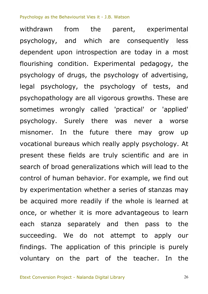succeeding. We do not attempt to apply our<br>findings. The application of this principle is purely<br>voluntary on the part of the teacher. In the stanza<br>eding numan beh<br>nentation w<br>ed more rea The future the<br>
ie future the<br>
is which really a<br>
ds are truly s<br>
neralizations w<br>
behavior. For e was<br>... are today in a m<br>
ental pedagogy,<br>
nology of advertis<br>
plogy of tests,<br>
is growths. These<br>
ractical' or 'appl menarum nom the parent, experimental<br>psychology, and which are consequently less<br>dependent upon introspection are today in a most withdrawn from the parent, experimental psychology, and which are consequently less flourishing condition. Experimental pedagogy, the psychology of drugs, the psychology of advertising, legal psychology, the psychology of tests, and psychopathology are all vigorous growths. These are sometimes wrongly called 'practical' or 'applied' psychology. Surely there was never a worse misnomer. In the future there may grow up vocational bureaus which really apply psychology. At present these fields are truly scientific and are in search of broad generalizations which will lead to the control of human behavior. For example, we find out by experimentation whether a series of stanzas may be acquired more readily if the whole is learned at once, or whether it is more advantageous to learn each stanza separately and then pass to the findings. The application of this principle is purely voluntary on the part of the teacher. In the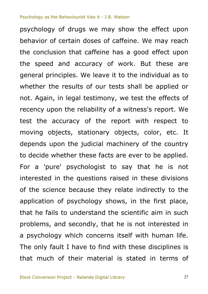a psychology which concerns itself with human life.<br>The only fault I have to find with these disciplines is<br>that much of their material is stated in terms of e rans<br>ems, an<br>chology In the que<br>
ence becaus<br>
in of psycho<br>
ils to under or the repose<br>stationary obje<br>judicial machi<br>these facts are<br>prologist to s eport Is a good effect u<br>
work. But these<br>
to the individual as<br>
ts shall be applied<br>
we test the effect<br>
we test the effect psychology of drugs we may show the effect upon behavior of certain doses of caffeine. We may reach the conclusion that caffeine has a good effect upon the speed and accuracy of work. But these are general principles. We leave it to the individual as to whether the results of our tests shall be applied or not. Again, in legal testimony, we test the effects of recency upon the reliability of a witness's report. We test the accuracy of the report with respect to moving objects, stationary objects, color, etc. It depends upon the judicial machinery of the country to decide whether these facts are ever to be applied. For a 'pure' psychologist to say that he is not interested in the questions raised in these divisions of the science because they relate indirectly to the application of psychology shows, in the first place, that he fails to understand the scientific aim in such problems, and secondly, that he is not interested in a psychology which concerns itself with human life. The only fault I have to find with these disciplines is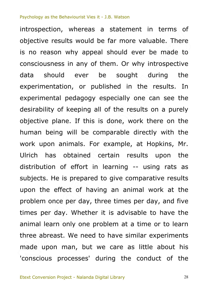three abreast. We need to have similar experiments<br>
made upon man, but we care as little about his<br>
'conscious processes' during the conduct of the per au<br>al learn<br>abreast He is prepa<br>
effect of h<br>
nce per day<br>
day. Whet time is doncy<br>be comparable<br>ls. For examp<br>ned certain<br>ort in learning ne, w ald ever be made<br>Or why introspec<br>ought during<br>d in the results.<br>ally one can see<br>e results on a pu  $The region of the graph is 1.50, and the region of the graph is 1.50, and the region of the graph is 1.50, and the region of the graph is 1.50, and the region of the graph is 1.50, and the region of the graph is 1.50, and the region of the graph is 1.50, and the region of the graph is 1.50, and the region of the graph is 1.50, and the region of the graph is 1.50, and the region of the graph is 1.50, and the region of the graph is 1.50, and the region of the graph is 1.50, and the region of the graph is 1.50, and the region of the graph is 1.50, and the region of the graph is 1.50, and the region of the graph is 1.50,$ introspection, whereas a statement in terms of objective results would be far more valuable. There is no reason why appeal should ever be made to consciousness in any of them. Or why introspective data should ever be sought during the experimentation, or published in the results. In experimental pedagogy especially one can see the desirability of keeping all of the results on a purely objective plane. If this is done, work there on the human being will be comparable directly with the work upon animals. For example, at Hopkins, Mr. Ulrich has obtained certain results upon the distribution of effort in learning  $-$  using rats as subjects. He is prepared to give comparative results upon the effect of having an animal work at the problem once per day, three times per day, and five times per day. Whether it is advisable to have the animal learn only one problem at a time or to learn made upon man, but we care as little about his 'conscious processes' during the conduct of the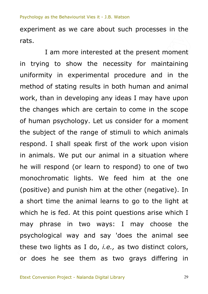I am more interested at the present moment experiment as we care about such processes in the rats.

psycholog<br>these two<br>or does - The Torre<br>- phrase<br>- plogical matic light:<br>and punish<br>ne the anir<br>s fed. At th or naman psychology. Ect as consider for a moment<br>the subject of the range of stimuli to which animals<br>respond. I shall speak first of the work upon vision<br>in animals. We put our animal in a situation where<br>he will respond consid t the present mom<br>sity for maintain<br>cocedure and in<br>th human and ani<br>leas I may have u<br>to come in the sc in trying to show the necessity for maintaining uniformity in experimental procedure and in the method of stating results in both human and animal work, than in developing any ideas I may have upon the changes which are certain to come in the scope of human psychology. Let us consider for a moment the subject of the range of stimuli to which animals respond. I shall speak first of the work upon vision in animals. We put our animal in a situation where he will respond (or learn to respond) to one of two (positive) and punish him at the other (negative). In a short time the animal learns to go to the light at which he is fed. At this point questions arise which I may phrase in two ways: I may choose the psychological way and say 'does the animal see these two lights as I do, *i.e.,* as two distinct colors, or does he see them as two grays differing in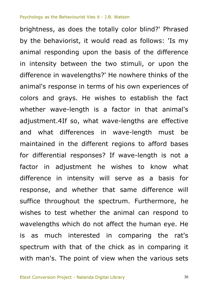is as much interested in comparing the rat's<br>spectrum with that of the chick as in comparing it<br>with man's. The point of view when the various sets  $\frac{1}{2}$  -  $\frac{1}{2}$  -  $\frac{1}{2}$  -  $\frac{1}{2}$  -  $\frac{1}{2}$  -  $\frac{1}{2}$  -  $\frac{1}{2}$  -  $\frac{1}{2}$  -  $\frac{1}{2}$  -  $\frac{1}{2}$  -  $\frac{1}{2}$  -  $\frac{1}{2}$  -  $\frac{1}{2}$  -  $\frac{1}{2}$  -  $\frac{1}{2}$  -  $\frac{1}{2}$  -  $\frac{1}{2}$  -  $\frac{1}{2}$  -  $\frac{1$ in intensi<br>and whetl<br>oughout the Mind Wave<br>
Nences in Wav<br>
different regionses? If Wav<br>
nent he Wish<br>
nsity Will ser e-leng asis of the differe<br>stimuli, or upon<br>nowhere thinks of<br>is own experience<br>to establish the "<br>"Is my<br>erence brightness, as does the totally color blind?' Phrased by the behaviorist, it would read as follows: 'Is my animal responding upon the basis of the difference in intensity between the two stimuli, or upon the difference in wavelengths?' He nowhere thinks of the animal's response in terms of his own experiences of colors and grays. He wishes to establish the fact whether wave-length is a factor in that animal's adjustment.4If so, what wave-lengths are effective and what differences in wave-length must be maintained in the different regions to afford bases for differential responses? If wave-length is not a factor in adjustment he wishes to know what difference in intensity will serve as a basis for response, and whether that same difference will suffice throughout the spectrum. Furthermore, he wishes to test whether the animal can respond to wavelengths which do not affect the human eye. He spectrum with that of the chick as in comparing it with man's. The point of view when the various sets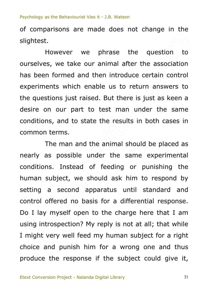$\frac{212}{20}$ of comparisons are made does not change in the slightest.

esults the question<br>after the associal<br>oduce certain con<br>to return answers<br>here is just as kee However we phrase the question to ourselves, we take our animal after the association has been formed and then introduce certain control experiments which enable us to return answers to the questions just raised. But there is just as keen a desire on our part to test man under the same conditions, and to state the results in both cases in common terms.

I might v<br>
choice an<br>
produce 1 introspe<br>ht verv bject, we s<br>second a<br>fered no ba<br>nyself open state the rese<br>
and the animal<br>
e under the<br>
d of feeding<br>
e should ask The man and the animal should be placed as nearly as possible under the same experimental conditions. Instead of feeding or punishing the human subject, we should ask him to respond by setting a second apparatus until standard and control offered no basis for a differential response. Do I lay myself open to the charge here that I am using introspection? My reply is not at all; that while I might very well feed my human subject for a right choice and punish him for a wrong one and thus produce the response if the subject could give it,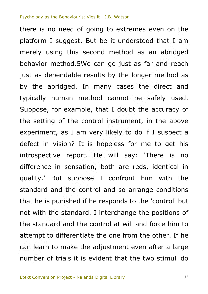attempt to differentiate the one from the other. If he can learn to make the adjustment even after a large number of trials it is evident that the two stimuli do her ender<br>tandard<br>ant to dif But suppos<br>and the cor<br>punished if<br>ne standard experiment, as I am very likely to do if I suspect a<br>defect in vision? It is hopeless for me to get his<br>introspective report. He will say: 'There is no<br>difference in sensation, both are reds, identical in<br>quality.' But sup strume thod as an abrid<br>just as far and re<br>the longer method<br>ases the direct<br>not be safely us<br>doubt the accuracy encre is no need or going to extremes even on the<br>platform I suggest. But be it understood that I am<br>merely using this second method as an abridged there is no need of going to extremes even on the platform I suggest. But be it understood that I am behavior method.5We can go just as far and reach just as dependable results by the longer method as by the abridged. In many cases the direct and typically human method cannot be safely used. Suppose, for example, that I doubt the accuracy of the setting of the control instrument, in the above experiment, as I am very likely to do if I suspect a defect in vision? It is hopeless for me to get his introspective report. He will say: 'There is no difference in sensation, both are reds, identical in standard and the control and so arrange conditions that he is punished if he responds to the 'control' but not with the standard. I interchange the positions of the standard and the control at will and force him to can learn to make the adjustment even after a large number of trials it is evident that the two stimuli do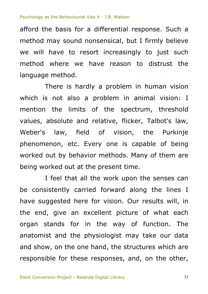method may sound nonsensical, but I firmly believe<br>we will have to resort increasingly to just such afford the basis for a differential response. Such a method may sound nonsensical, but I firmly believe method where we have reason to distrust the language method.

Fractive, e, flick asingly to just s<br>son to distrust<br>lem in human vis<br>in animal visior<br>spectrum, thresh There is hardly a problem in human vision which is not also a problem in animal vision: I mention the limits of the spectrum, threshold values, absolute and relative, flicker, Talbot's law, Weber's law, field of vision, the Purkinje phenomenon, etc. Every one is capable of being worked out by behavior methods. Many of them are being worked out at the present time.

anatomist and the physiologist may take our data<br>and show, on the one hand, the structures which are<br>responsible for these responses, and, on the other,  $\frac{1}{2}$  stand:<br> $\frac{1}{2}$  stand: eel that all<br>tently carri<br>lested here<br>give an ex I feel that all the work upon the senses can be consistently carried forward along the lines I have suggested here for vision. Our results will, in the end, give an excellent picture of what each organ stands for in the way of function. The and show, on the one hand, the structures which are responsible for these responses, and, on the other,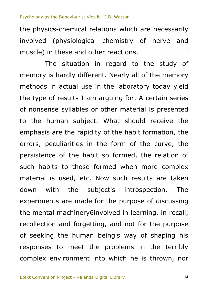$e$  and the physics-chemical relations which are necessarily involved (physiological chemistry of nerve and muscle) in these and other reactions.

of seeking the human being's way of shaping his<br>responses to meet the problems in the terribly<br>complex environment into which he is thrown, nor ection<br>ection<br>eking the s used, etd<br>th the<br>its are mad<br>I machinery emphasis are the rapidity of the habit formation, the<br>errors, peculiarities in the form of the curve, the<br>persistence of the habit so formed, the relation of<br>such habits to those formed when more complex<br>material is used,  $\frac{at}{\sqrt{2}}$ ctions.<br>
Ind to the study<br>
Indian of the mem<br>
aboratory today y<br>
g for. A certain se<br>
material is preser The situation in regard to the study of memory is hardly different. Nearly all of the memory methods in actual use in the laboratory today yield the type of results I am arguing for. A certain series of nonsense syllables or other material is presented to the human subject. What should receive the emphasis are the rapidity of the habit formation, the errors, peculiarities in the form of the curve, the persistence of the habit so formed, the relation of such habits to those formed when more complex down with the subject's introspection. The experiments are made for the purpose of discussing the mental machinery6involved in learning, in recall, recollection and forgetting, and not for the purpose responses to meet the problems in the terribly complex environment into which he is thrown, nor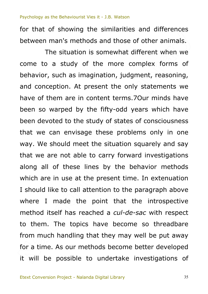or showing the similarities and amerences<br>I man's methods and those of other animals.<br>The situation is somewhat different when we for that of showing the similarities and differences between man's methods and those of other animals.

from much handling that they may well be put away<br>for a time. As our methods become better developed<br>it will be possible to undertake investigations of  $e$   $\alpha$   $\beta$   $\beta$   $\beta$   $\beta$   $\beta$ In use at th<br>
in use at the<br>
made the<br>
self has rea the state of state<br>
and the situation<br>
and the situation<br>
also the situation<br>
also the present to the present to states nat different when<br>re complex forms<br>judgment, reason<br>e only statements<br>rms.70ur minds h<br>dd years which h come to a study of the more complex forms of behavior, such as imagination, judgment, reasoning, and conception. At present the only statements we have of them are in content terms.7Our minds have been so warped by the fifty-odd years which have been devoted to the study of states of consciousness that we can envisage these problems only in one way. We should meet the situation squarely and say that we are not able to carry forward investigations along all of these lines by the behavior methods which are in use at the present time. In extenuation I should like to call attention to the paragraph above where I made the point that the introspective method itself has reached a *cul-de-sac* with respect to them. The topics have become so threadbare from much handling that they may well be put away for a time. As our methods become better developed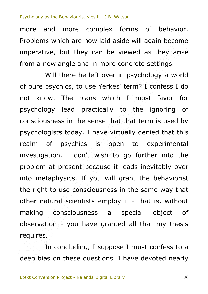Increading there complex from on behavior.<br>Problems which are now laid aside will again become<br>imperative, but they can be viewed as they arise more and more complex forms of behavior. Problems which are now laid aside will again become from a new angle and in more concrete settings.

vation<br>res physics. If<br>o use conso<br>ural scientis<br>consciousn The Sense aller<br>
1997 V. I have virtude<br>
1997 V. I wish to to the vish to the<br>
1998 V. I he vill discussed it dependent  $\overline{\text{at}}$  tha viewed as they a<br>concrete settings.<br>in psychology a we<br>' term? I confess l<br>to the ignoring Will there be left over in psychology a world of pure psychics, to use Yerkes' term? I confess I do not know. The plans which I most favor for psychology lead practically to the ignoring of consciousness in the sense that that term is used by psychologists today. I have virtually denied that this realm of psychics is open to experimental investigation. I don't wish to go further into the problem at present because it leads inevitably over into metaphysics. If you will grant the behaviorist the right to use consciousness in the same way that other natural scientists employ it - that is, without making consciousness a special object of observation - you have granted all that my thesis requires.

requires.<br>
In concluding, I suppose I must confess to a<br>
deep bias on these questions. I have devoted nearly In concluding, I suppose I must confess to a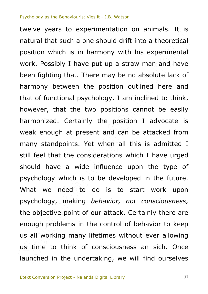us all working many lifetimes without ever allowing<br>us time to think of consciousness an sich. Once<br>launched in the undertaking, we will find ourselves bjeenve<br>gh probl<br>Lworkin y which is<br>need to<br>y, making<br>ive point of Finity the post<br>Finity the post<br>Finity when all<br>Finity influence<br>Sis to be devel positio with his experime<br>straw man and h<br>be no absolute lack<br>in outlined here<br>am inclined to th<br>ons cannot be ea "<br>pretical<br>mental twelve years to experimentation on animals. It is natural that such a one should drift into a theoretical position which is in harmony with his experimental work. Possibly I have put up a straw man and have been fighting that. There may be no absolute lack of harmony between the position outlined here and that of functional psychology. I am inclined to think, however, that the two positions cannot be easily harmonized. Certainly the position I advocate is weak enough at present and can be attacked from many standpoints. Yet when all this is admitted I still feel that the considerations which I have urged should have a wide influence upon the type of psychology which is to be developed in the future. What we need to do is to start work upon psychology, making *behavior, not consciousness,* the objective point of our attack. Certainly there are enough problems in the control of behavior to keep us time to think of consciousness an sich*.* Once launched in the undertaking, we will find ourselves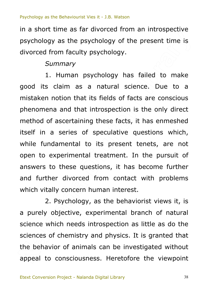$time$  is in a short time as far divorced from an introspective psychology as the psychology of the present time is divorced from faculty psychology.

# *Summary*

of speculative<br>
of speculative<br>
I to its prese<br>
ntal treatment<br>
questions, it l<br>
ced from cont facts, Jy.<br>
has failed to m<br>
science. Due to<br>
of facts are consci<br>
tion is the only di 1. Human psychology has failed to make good its claim as a natural science. Due to a mistaken notion that its fields of facts are conscious phenomena and that introspection is the only direct method of ascertaining these facts, it has enmeshed itself in a series of speculative questions which, while fundamental to its present tenets, are not open to experimental treatment. In the pursuit of answers to these questions, it has become further and further divorced from contact with problems which vitally concern human interest.

sciences<br>the behaved<br>appeal to c., but<br>ce which<br>ces of cl er divorced<br>Ily concern<br>Psychology<br>pbjective, e 2. Psychology, as the behaviorist views it, is a purely objective, experimental branch of natural science which needs introspection as little as do the sciences of chemistry and physics. It is granted that the behavior of animals can be investigated without appeal to consciousness. Heretofore the viewpoint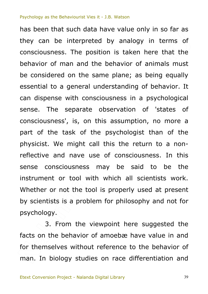t or tool v<br>or not the t<br>sts is a prot<br>y. of the psychometries asset<br>of the psychometries the<br>velocing use of concess may be ssump taken here that<br>ivior of animals m<br>ane; as being equ<br>anding of behavior<br>iss in a psycholog<br>ation of 'states they can be interpreted by analogy in terms of<br>consciousness. The position is taken here that the has been that such data have value only in so far as they can be interpreted by analogy in terms of behavior of man and the behavior of animals must be considered on the same plane; as being equally essential to a general understanding of behavior. It can dispense with consciousness in a psychological sense. The separate observation of 'states of consciousness', is, on this assumption, no more a part of the task of the psychologist than of the physicist. We might call this the return to a nonreflective and nave use of consciousness. In this sense consciousness may be said to be the instrument or tool with which all scientists work. Whether or not the tool is properly used at present by scientists is a problem for philosophy and not for psychology.

facts on the behavior of amoebæ have value in and<br>for themselves without reference to the behavior of<br>man. In biology studies on race differentiation and psychology:<br>
3. From the viewpoint here suggested the<br>
facts on the behavior of amoebæ have value in and 3. From the viewpoint here suggested the for themselves without reference to the behavior of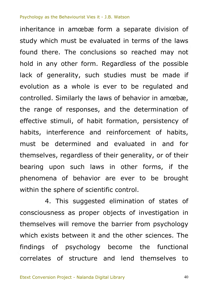Shand Channes<br>
Shand Chand eva<br>
Shand eva<br>
Shand in Oright<br>
Shand and eva<br>
Shand in Oright<br>
Shand and Chand<br>
Shand and Chand<br>
Shand and Chand<br>
Shand and Chand<br>
Shand and Chand<br>
Shand and Chand<br>
Shand and Chand<br>
Shand and C matio so reached may<br>dless of the poss<br>es must be mad<br>to be regulated<br>fibe determination sion<br>e laws<br>ay not inheritance in amœbæ form a separate division of study which must be evaluated in terms of the laws found there. The conclusions so reached may not hold in any other form. Regardless of the possible lack of generality, such studies must be made if evolution as a whole is ever to be regulated and controlled. Similarly the laws of behavior in amœbæ, the range of responses, and the determination of effective stimuli, of habit formation, persistency of habits, interference and reinforcement of habits, must be determined and evaluated in and for themselves, regardless of their generality, or of their bearing upon such laws in other forms, if the phenomena of behavior are ever to be brought within the sphere of scientific control.

which exists between it and the other sciences. The<br>findings of psychology become the functional<br>correlates of structure and lend themselves to --<br>selves w<br>n exists a or beha<br>sphere of s<br>This sugg<br>ness as pro 4. This suggested elimination of states of consciousness as proper objects of investigation in themselves will remove the barrier from psychology findings of psychology become the functional correlates of structure and lend themselves to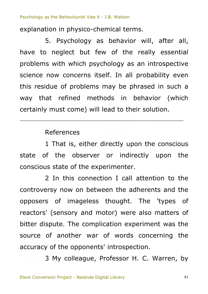explanation in physico-chemical terms.

**- 107** the really esser<br>iy as an introspec<br>an all probability e<br>be phrased in suc<br>in behavior (where solution. Explanderon in priyores enermed termore.<br>
5. Psychology as behavior will, after all,<br>
have to neglect but few of the really essential 5. Psychology as behavior will, after all, problems with which psychology as an introspective science now concerns itself. In all probability even this residue of problems may be phrased in such a way that refined methods in behavior (which certainly must come) will lead to their solution.

## References

FREE SERVINGS<br>
Server or in<br>
the experiment<br>
connection I c 1 That is, either directly upon the conscious state of the observer or indirectly upon the conscious state of the experimenter.

source of another war of words concerning the<br>accuracy of the opponents' introspection.<br>3 My colleague, Professor H. C. Warren, by ors (server)<br>- dispute<br>- of ar In this con<br>
(iy now on t<br>
of imagel<br>
sensory an 2 In this connection I call attention to the controversy now on between the adherents and the opposers of imageless thought. The 'types of reactors' (sensory and motor) were also matters of bitter dispute. The complication experiment was the accuracy of the opponents' introspection.

3 My colleague, Professor H. C. Warren, by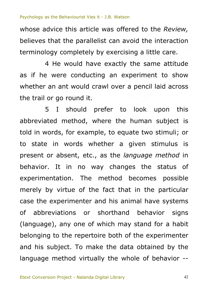raction<br>raction<br>are. whose advice this article was offered to the *Review,* believes that the parallelist can avoid the interaction terminology completely by exercising a little care.

cising a little care.<br>
tly the same attit<br>
experiment to show<br>
er a pencil laid acr<br>
to look upon 4 He would have exactly the same attitude as if he were conducting an experiment to show whether an ant would crawl over a pencil laid across the trail or go round it.

belonging to the repertoire both of the experimenter<br>and his subject. To make the data obtained by the<br>language method virtually the whole of behavior -issievia.<br>uage), a<br>ging to rtation.<br>
virtue of<br>
xperimente<br>
viations or bu, where the<br>example, to eq<br>Is whether a<br>The method the h 5 I should prefer to look upon this abbreviated method, where the human subject is told in words, for example, to equate two stimuli; or to state in words whether a given stimulus is present or absent, etc., as the *language method* in behavior. It in no way changes the status of experimentation. The method becomes possible merely by virtue of the fact that in the particular case the experimenter and his animal have systems of abbreviations or shorthand behavior signs (language), any one of which may stand for a habit belonging to the repertoire both of the experimenter and his subject. To make the data obtained by the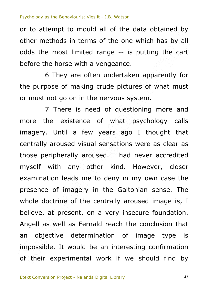of to attempt to moald all of the data obtained by<br>other methods in terms of the one which has by all<br>odds the most limited range -- is putting the cart or to attempt to mould all of the data obtained by other methods in terms of the one which has by all before the horse with a vengeance.

-- is putting the<br>nce.<br>rtaken apparently<br>bictures of what m<br>uestioning more 6 They are often undertaken apparently for the purpose of making crude pictures of what must or must not go on in the nervous system.

an object<br>impossible<br>of their re, at pr<br>Il as we<br>phiective on leads me<br>of imagery<br>trine of the<br>t present, d Frace of what<br>few years a<br>visual sensatio<br>aroused. I had<br>other kind.<br>me to deny in  $\overline{\text{hat}}$ 7 There is need of questioning more and more the existence of what psychology calls imagery. Until a few years ago I thought that centrally aroused visual sensations were as clear as those peripherally aroused. $\Box'$  had never accredited myself with any other kind. However, closer examination leads me to deny in my own case the presence of imagery in the Galtonian sense. The whole doctrine of the centrally aroused image is, I believe, at present, on a very insecure foundation. Angell as well as Fernald reach the conclusion that an objective determination of image type is impossible. It would be an interesting confirmation of their experimental work if we should find by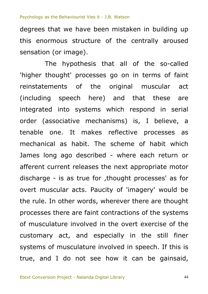$\frac{1}{2}$ degrees that we have been mistaken in building up this enormous structure of the centrally aroused sensation (or image).

customary act, and especially in the still finer<br>systems of musculature involved in speech. If this is<br>true, and I do not see how it can be gainsaid, -- is as true<br>cular acts.<br>n other wor<br>there are fa makes refled<br>makes refled<br>bit. The sche<br>lescribed - wh<br>leases the nex  $\overline{ms}$ all of the so-ca<br>
on in terms of f<br>
ginal muscular<br>
d that these<br>
ch respond in se The hypothesis that all of the so-called 'higher thought' processes go on in terms of faint reinstatements of the original muscular act (including speech here) and that these are integrated into systems which respond in serial order (associative mechanisms) is, I believe, a tenable one. It makes reflective processes as mechanical as habit. The scheme of habit which James long ago described  $\leq$  where each return or afferent current releases the next appropriate motor discharge - is as true for ,thought processes' as for overt muscular acts. Paucity of 'imagery' would be the rule. In other words, wherever there are thought processes there are faint contractions of the systems of musculature involved in the overt exercise of the systems of musculature involved in speech. If this is true, and I do not see how it can be gainsaid,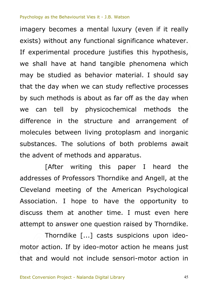Scructure<br>
1 living protop<br>
solutions of bo<br>
iting this pa<br>
ssors Thorndik and Eifies this hypothe<br>le phenomena wh<br>naterial. I should<br>y reflective proces<br>r off as the day w<br>mical methods . . . . ...,<br>atever.<br>thesis, imagery becomes a mental luxury (even if it really exists) without any functional significance whatever. If experimental procedure justifies this hypothesis, we shall have at hand tangible phenomena which may be studied as behavior material. I should say that the day when we can study reflective processes by such methods is about as far off as the day when we can tell by physicochemical methods the difference in the structure and arrangement of molecules between living protoplasm and inorganic substances. The solutions of both problems await the advent of methods and apparatus.

but to an<br>hpt to an<br>Thorn of Professo<br>meeting<br>a. I hope<br>em at and  $[After writing) this paper I heard the$ addresses of Professors Thorndike and Angell, at the Cleveland meeting of the American Psychological Association. I hope to have the opportunity to discuss them at another time. I must even here attempt to answer one question raised by Thorndike.

motor act<br>that and Thorndike [...] casts suspicions upon ideomotor action. If by ideo-motor action he means just that and would not include sensori-motor action in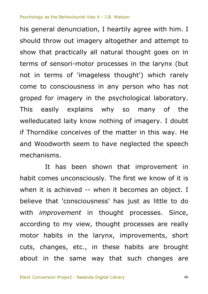if Thorndike conceives of the matter in this way. He<br>and Woodworth seem to have neglected the speech<br>mechanisms.<br>It has been shown that improvement in<br>habit comes unconsciously. The first we know of it is ng of al thought goes or<br>ses in the larynx (<br>nought') which ra<br>person who has<br>chological laborate<br>so many of  $m n$ <br>mpt to<br>son in his general denunciation, I heartily agree with him. I should throw out imagery altogether and attempt to show that practically all natural thought goes on in terms of sensori-motor processes in the larynx (but not in terms of 'imageless thought') which rarely come to consciousness in any person who has not groped for imagery in the psychological laboratory. This easily explains why so many of the welleducated laity know nothing of imagery. I doubt if Thorndike conceives of the matter in this way. He and Woodworth seem to have neglected the speech mechanisms.

motor habits in the larynx, improvements, short<br>cuts, changes, etc., in these habits are brought<br>about in the same way that such changes are  $\frac{m\pi}{2}$ <br>ding to<br>r habits es unconsci<br>achieved<br>at 'consciou<br>covement i It has been shown that improvement in when it is achieved -- when it becomes an object. I believe that 'consciousness' has just as little to do with *improvement* in thought processes. Since, according to my view, thought processes are really motor habits in the larynx, improvements, short cuts, changes, etc., in these habits are brought